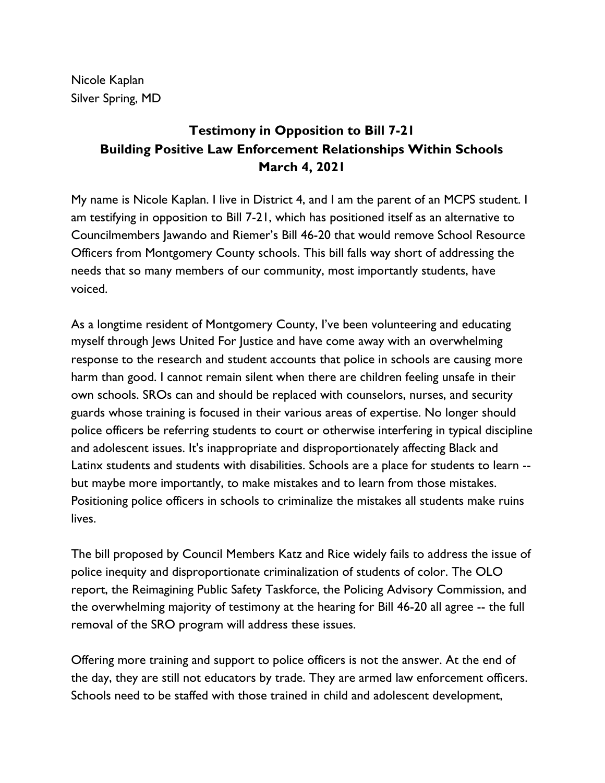Nicole Kaplan Silver Spring, MD

## **Testimony in Opposition to Bill 7-21 Building Positive Law Enforcement Relationships Within Schools March 4, 2021**

My name is Nicole Kaplan. I live in District 4, and I am the parent of an MCPS student. I am testifying in opposition to Bill 7-21, which has positioned itself as an alternative to Councilmembers Jawando and Riemer's Bill 46-20 that would remove School Resource Officers from Montgomery County schools. This bill falls way short of addressing the needs that so many members of our community, most importantly students, have voiced.

As a longtime resident of Montgomery County, I've been volunteering and educating myself through Jews United For Justice and have come away with an overwhelming response to the research and student accounts that police in schools are causing more harm than good. I cannot remain silent when there are children feeling unsafe in their own schools. SROs can and should be replaced with counselors, nurses, and security guards whose training is focused in their various areas of expertise. No longer should police officers be referring students to court or otherwise interfering in typical discipline and adolescent issues. It's inappropriate and disproportionately affecting Black and Latinx students and students with disabilities. Schools are a place for students to learn - but maybe more importantly, to make mistakes and to learn from those mistakes. Positioning police officers in schools to criminalize the mistakes all students make ruins lives.

The bill proposed by Council Members Katz and Rice widely fails to address the issue of police inequity and disproportionate criminalization of students of color. The OLO report, the Reimagining Public Safety Taskforce, the Policing Advisory Commission, and the overwhelming majority of testimony at the hearing for Bill 46-20 all agree -- the full removal of the SRO program will address these issues.

Offering more training and support to police officers is not the answer. At the end of the day, they are still not educators by trade. They are armed law enforcement officers. Schools need to be staffed with those trained in child and adolescent development,